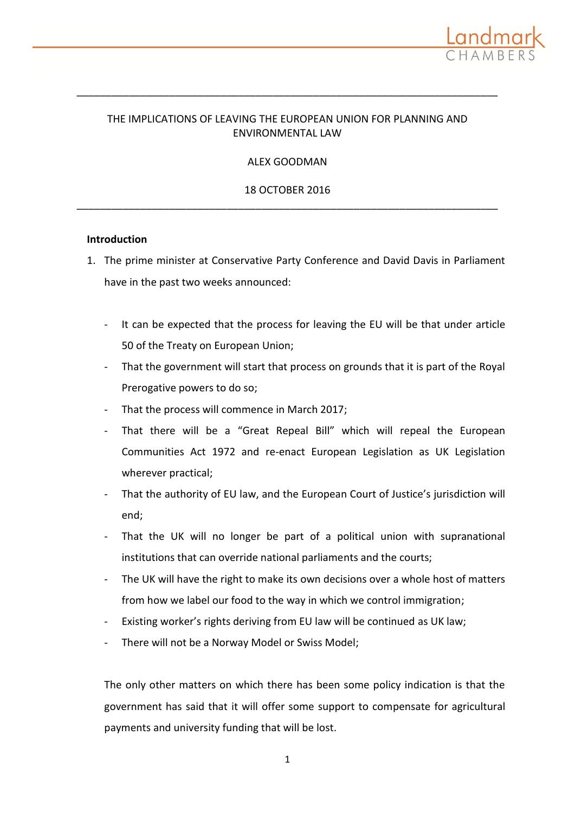

# THE IMPLICATIONS OF LEAVING THE EUROPEAN UNION FOR PLANNING AND ENVIRONMENTAL LAW

\_\_\_\_\_\_\_\_\_\_\_\_\_\_\_\_\_\_\_\_\_\_\_\_\_\_\_\_\_\_\_\_\_\_\_\_\_\_\_\_\_\_\_\_\_\_\_\_\_\_\_\_\_\_\_\_\_\_\_\_\_\_\_\_\_\_\_\_\_\_\_\_\_

# ALEX GOODMAN

18 OCTOBER 2016 \_\_\_\_\_\_\_\_\_\_\_\_\_\_\_\_\_\_\_\_\_\_\_\_\_\_\_\_\_\_\_\_\_\_\_\_\_\_\_\_\_\_\_\_\_\_\_\_\_\_\_\_\_\_\_\_\_\_\_\_\_\_\_\_\_\_\_\_\_\_\_\_\_

## **Introduction**

- 1. The prime minister at Conservative Party Conference and David Davis in Parliament have in the past two weeks announced:
	- It can be expected that the process for leaving the EU will be that under article 50 of the Treaty on European Union;
	- That the government will start that process on grounds that it is part of the Royal Prerogative powers to do so;
	- That the process will commence in March 2017;
	- That there will be a "Great Repeal Bill" which will repeal the European Communities Act 1972 and re-enact European Legislation as UK Legislation wherever practical;
	- That the authority of EU law, and the European Court of Justice's jurisdiction will end;
	- That the UK will no longer be part of a political union with supranational institutions that can override national parliaments and the courts;
	- The UK will have the right to make its own decisions over a whole host of matters from how we label our food to the way in which we control immigration;
	- Existing worker's rights deriving from EU law will be continued as UK law;
	- There will not be a Norway Model or Swiss Model;

The only other matters on which there has been some policy indication is that the government has said that it will offer some support to compensate for agricultural payments and university funding that will be lost.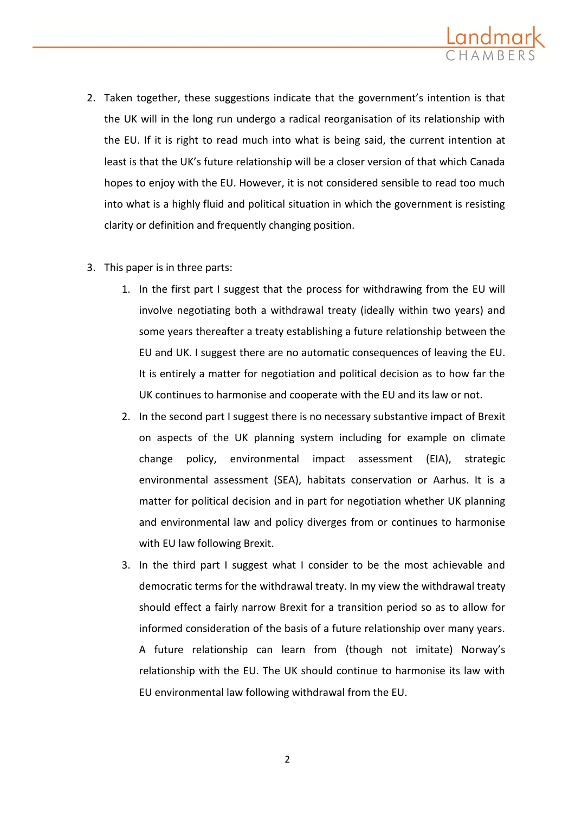

- 2. Taken together, these suggestions indicate that the government's intention is that the UK will in the long run undergo a radical reorganisation of its relationship with the EU. If it is right to read much into what is being said, the current intention at least is that the UK's future relationship will be a closer version of that which Canada hopes to enjoy with the EU. However, it is not considered sensible to read too much into what is a highly fluid and political situation in which the government is resisting clarity or definition and frequently changing position.
- 3. This paper is in three parts:
	- 1. In the first part I suggest that the process for withdrawing from the EU will involve negotiating both a withdrawal treaty (ideally within two years) and some years thereafter a treaty establishing a future relationship between the EU and UK. I suggest there are no automatic consequences of leaving the EU. It is entirely a matter for negotiation and political decision as to how far the UK continues to harmonise and cooperate with the EU and its law or not.
	- 2. In the second part I suggest there is no necessary substantive impact of Brexit on aspects of the UK planning system including for example on climate change policy, environmental impact assessment (EIA), strategic environmental assessment (SEA), habitats conservation or Aarhus. It is a matter for political decision and in part for negotiation whether UK planning and environmental law and policy diverges from or continues to harmonise with EU law following Brexit.
	- 3. In the third part I suggest what I consider to be the most achievable and democratic terms for the withdrawal treaty. In my view the withdrawal treaty should effect a fairly narrow Brexit for a transition period so as to allow for informed consideration of the basis of a future relationship over many years. A future relationship can learn from (though not imitate) Norway's relationship with the EU. The UK should continue to harmonise its law with EU environmental law following withdrawal from the EU.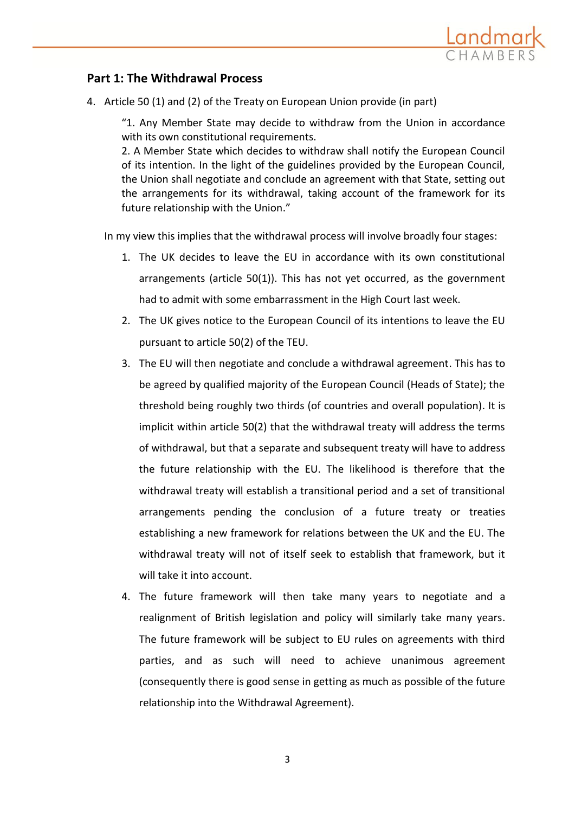

# **Part 1: The Withdrawal Process**

4. Article 50 (1) and (2) of the Treaty on European Union provide (in part)

"1. Any Member State may decide to withdraw from the Union in accordance with its own constitutional requirements.

2. A Member State which decides to withdraw shall notify the European Council of its intention. In the light of the guidelines provided by the European Council, the Union shall negotiate and conclude an agreement with that State, setting out the arrangements for its withdrawal, taking account of the framework for its future relationship with the Union."

In my view this implies that the withdrawal process will involve broadly four stages:

- 1. The UK decides to leave the EU in accordance with its own constitutional arrangements (article 50(1)). This has not yet occurred, as the government had to admit with some embarrassment in the High Court last week.
- 2. The UK gives notice to the European Council of its intentions to leave the EU pursuant to article 50(2) of the TEU.
- 3. The EU will then negotiate and conclude a withdrawal agreement. This has to be agreed by qualified majority of the European Council (Heads of State); the threshold being roughly two thirds (of countries and overall population). It is implicit within article 50(2) that the withdrawal treaty will address the terms of withdrawal, but that a separate and subsequent treaty will have to address the future relationship with the EU. The likelihood is therefore that the withdrawal treaty will establish a transitional period and a set of transitional arrangements pending the conclusion of a future treaty or treaties establishing a new framework for relations between the UK and the EU. The withdrawal treaty will not of itself seek to establish that framework, but it will take it into account.
- 4. The future framework will then take many years to negotiate and a realignment of British legislation and policy will similarly take many years. The future framework will be subject to EU rules on agreements with third parties, and as such will need to achieve unanimous agreement (consequently there is good sense in getting as much as possible of the future relationship into the Withdrawal Agreement).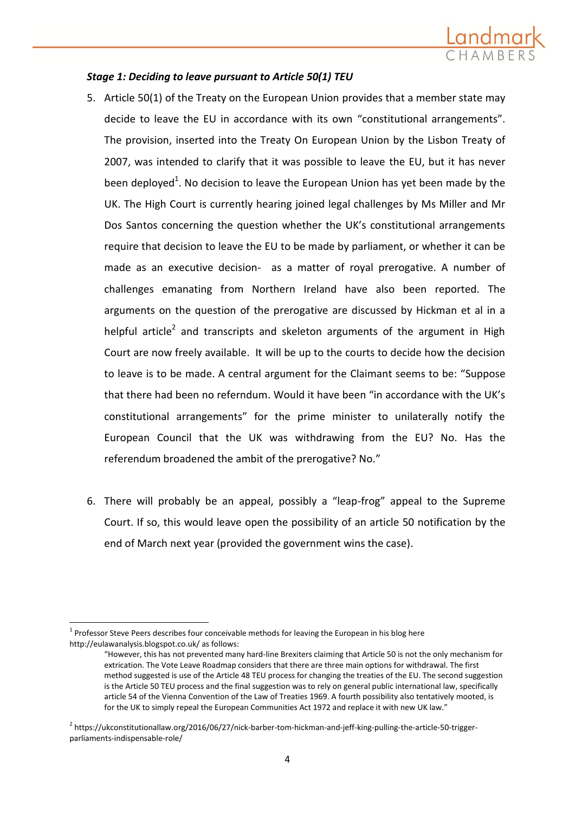

# *Stage 1: Deciding to leave pursuant to Article 50(1) TEU*

- 5. Article 50(1) of the Treaty on the European Union provides that a member state may decide to leave the EU in accordance with its own "constitutional arrangements". The provision, inserted into the Treaty On European Union by the Lisbon Treaty of 2007, was intended to clarify that it was possible to leave the EU, but it has never been deployed<sup>1</sup>. No decision to leave the European Union has yet been made by the UK. The High Court is currently hearing joined legal challenges by Ms Miller and Mr Dos Santos concerning the question whether the UK's constitutional arrangements require that decision to leave the EU to be made by parliament, or whether it can be made as an executive decision- as a matter of royal prerogative. A number of challenges emanating from Northern Ireland have also been reported. The arguments on the question of the prerogative are discussed by Hickman et al in a helpful article<sup>2</sup> and transcripts and skeleton arguments of the argument in High [Court are now freely available.](https://ukconstitutionallaw.org/2016/06/27/nick-barber-tom-hickman-and-jeff-king-pulling-the-article-50-trigger-parliaments-indispensable-role/) It will be up to the courts to decide how the decision to leave is to be made. A central argument for the Claimant seems to be: "Suppose that there had been no referndum. Would it have been "in accordance with the UK's constitutional arrangements" for the prime minister to unilaterally notify the European Council that the UK was withdrawing from the EU? No. Has the referendum broadened the ambit of the prerogative? No."
- 6. There will probably be an appeal, possibly a "leap-frog" appeal to the Supreme Court. If so, this would leave open the possibility of an article 50 notification by the end of March next year (provided the government wins the case).

 $\overline{a}$ 

 $1$  Professor Steve Peers describes four conceivable methods for leaving the European in his blog here <http://eulawanalysis.blogspot.co.uk/> as follows:

<sup>&</sup>quot;However, this has not prevented many hard-line Brexiter[s claiming](http://www.voteleavetakecontrol.org/a_framework_for_taking_back_control_and_establishing_a_new_uk_eu_deal_after_23_june) that Article 50 is not the only mechanism for extrication. The Vote Leave Roadmap considers that there are three main options for withdrawal. The first method suggested is use of the Article 48 TEU process for changing the treaties of the EU. The second suggestion is the Article 50 TEU process and the final suggestion was to rely on general public international law, specifically article 54 of the Vienna Convention of the Law of Treaties 1969. A fourth possibility also tentatively mooted, is for the UK to simply repeal the European Communities Act 1972 and replace it with new UK law."

<sup>&</sup>lt;sup>2</sup> https://ukconstitutionallaw.org/2016/06/27/nick-barber-tom-hickman-and-jeff-king-pulling-the-article-50-triggerparliaments-indispensable-role/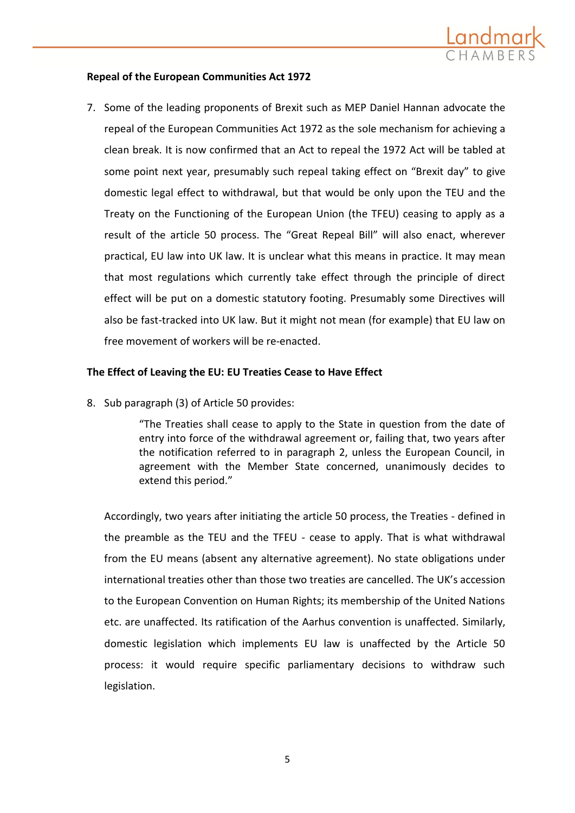

## **Repeal of the European Communities Act 1972**

7. Some of the leading proponents of Brexit such as MEP Daniel Hannan advocate the repeal of the European Communities Act 1972 as the sole mechanism for achieving a clean break. It is now confirmed that an Act to repeal the 1972 Act will be tabled at some point next year, presumably such repeal taking effect on "Brexit day" to give domestic legal effect to withdrawal, but that would be only upon the TEU and the Treaty on the Functioning of the European Union (the TFEU) ceasing to apply as a result of the article 50 process. The "Great Repeal Bill" will also enact, wherever practical, EU law into UK law. It is unclear what this means in practice. It may mean that most regulations which currently take effect through the principle of direct effect will be put on a domestic statutory footing. Presumably some Directives will also be fast-tracked into UK law. But it might not mean (for example) that EU law on free movement of workers will be re-enacted.

### **The Effect of Leaving the EU: EU Treaties Cease to Have Effect**

8. Sub paragraph (3) of Article 50 provides:

"The Treaties shall cease to apply to the State in question from the date of entry into force of the withdrawal agreement or, failing that, two years after the notification referred to in paragraph 2, unless the European Council, in agreement with the Member State concerned, unanimously decides to extend this period."

Accordingly, two years after initiating the article 50 process, the Treaties - defined in the preamble as the TEU and the TFEU - cease to apply. That is what withdrawal from the EU means (absent any alternative agreement). No state obligations under international treaties other than those two treaties are cancelled. The UK's accession to the European Convention on Human Rights; its membership of the United Nations etc. are unaffected. Its ratification of the Aarhus convention is unaffected. Similarly, domestic legislation which implements EU law is unaffected by the Article 50 process: it would require specific parliamentary decisions to withdraw such legislation.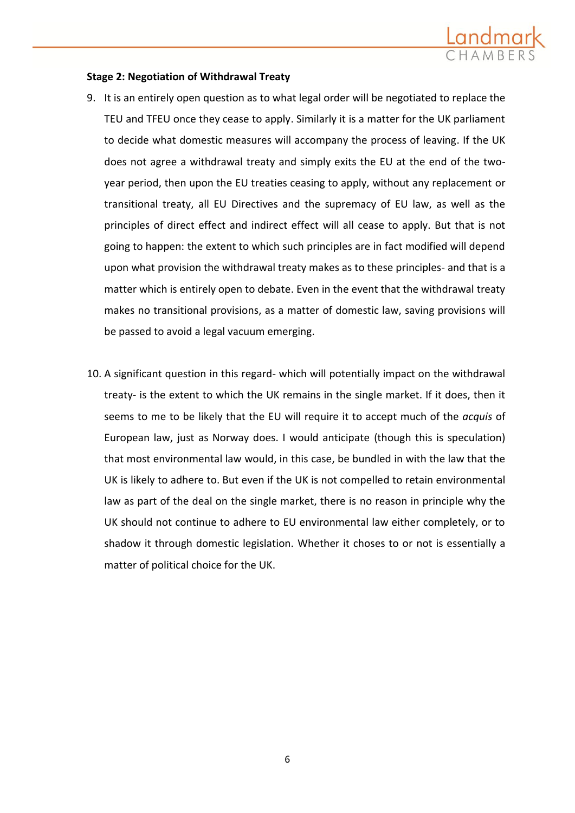

### **Stage 2: Negotiation of Withdrawal Treaty**

- 9. It is an entirely open question as to what legal order will be negotiated to replace the TEU and TFEU once they cease to apply. Similarly it is a matter for the UK parliament to decide what domestic measures will accompany the process of leaving. If the UK does not agree a withdrawal treaty and simply exits the EU at the end of the twoyear period, then upon the EU treaties ceasing to apply, without any replacement or transitional treaty, all EU Directives and the supremacy of EU law, as well as the principles of direct effect and indirect effect will all cease to apply. But that is not going to happen: the extent to which such principles are in fact modified will depend upon what provision the withdrawal treaty makes as to these principles- and that is a matter which is entirely open to debate. Even in the event that the withdrawal treaty makes no transitional provisions, as a matter of domestic law, saving provisions will be passed to avoid a legal vacuum emerging.
- 10. A significant question in this regard- which will potentially impact on the withdrawal treaty- is the extent to which the UK remains in the single market. If it does, then it seems to me to be likely that the EU will require it to accept much of the *acquis* of European law, just as Norway does. I would anticipate (though this is speculation) that most environmental law would, in this case, be bundled in with the law that the UK is likely to adhere to. But even if the UK is not compelled to retain environmental law as part of the deal on the single market, there is no reason in principle why the UK should not continue to adhere to EU environmental law either completely, or to shadow it through domestic legislation. Whether it choses to or not is essentially a matter of political choice for the UK.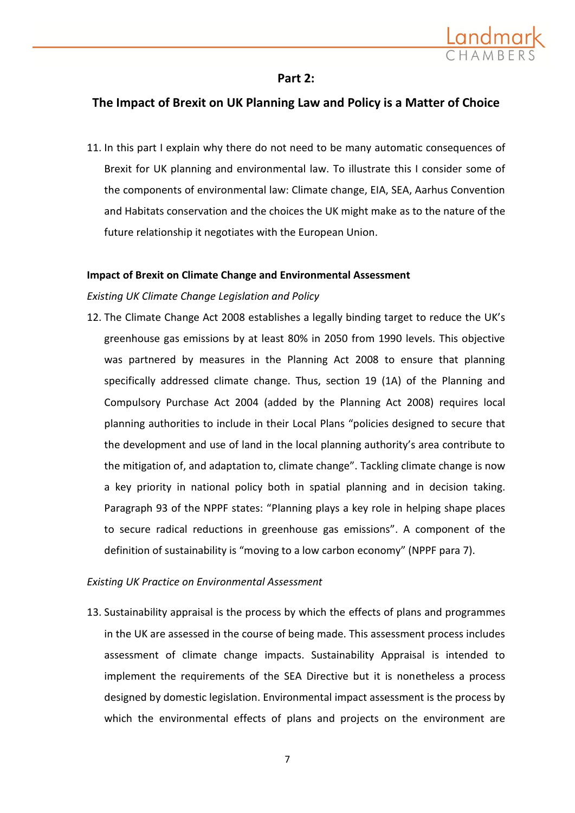

# **Part 2:**

# **The Impact of Brexit on UK Planning Law and Policy is a Matter of Choice**

11. In this part I explain why there do not need to be many automatic consequences of Brexit for UK planning and environmental law. To illustrate this I consider some of the components of environmental law: Climate change, EIA, SEA, Aarhus Convention and Habitats conservation and the choices the UK might make as to the nature of the future relationship it negotiates with the European Union.

## **Impact of Brexit on Climate Change and Environmental Assessment**

# *Existing UK Climate Change Legislation and Policy*

12. The Climate Change Act 2008 establishes a legally binding target to reduce the UK's greenhouse gas emissions by at least 80% in 2050 from 1990 levels. This objective was partnered by measures in the Planning Act 2008 to ensure that planning specifically addressed climate change. Thus, [section 19 \(1A\) of the Planning and](http://www.legislation.gov.uk/ukpga/2008/29/section/182)  [Compulsory Purchase Act 2004](http://www.legislation.gov.uk/ukpga/2008/29/section/182) (added by the Planning Act 2008) requires local planning authorities to include in their [Local Plans](http://planningguidance.communities.gov.uk/blog/guidance/local-plans/) "policies designed to secure that the development and use of land in the local planning authority's area contribute to the mitigation of, and adaptation to, climate change". Tackling climate change is now a key priority in national policy both in spatial planning and in decision taking. Paragraph 93 of the NPPF states: "Planning plays a key role in helping shape places to secure radical reductions in greenhouse gas emissions". A component of the definition of sustainability is "moving to a low carbon economy" (NPPF para 7).

# *Existing UK Practice on Environmental Assessment*

13. Sustainability appraisal is the process by which the effects of plans and programmes in the UK are assessed in the course of being made. This assessment process includes assessment of climate change impacts. Sustainability Appraisal is intended to implement the requirements of the SEA Directive but it is nonetheless a process designed by domestic legislation. Environmental impact assessment is the process by which the environmental effects of plans and projects on the environment are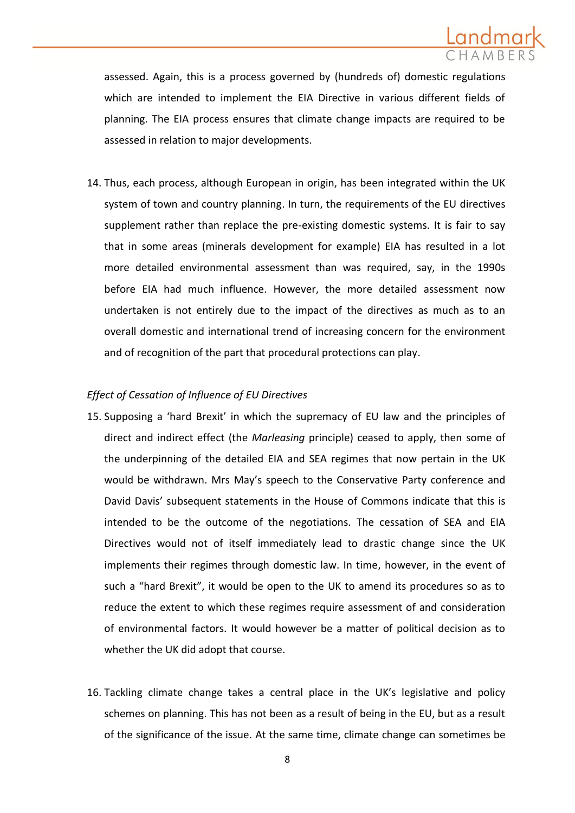

assessed. Again, this is a process governed by (hundreds of) domestic regulations which are intended to implement the EIA Directive in various different fields of planning. The EIA process ensures that climate change impacts are required to be assessed in relation to major developments.

14. Thus, each process, although European in origin, has been integrated within the UK system of town and country planning. In turn, the requirements of the EU directives supplement rather than replace the pre-existing domestic systems. It is fair to say that in some areas (minerals development for example) EIA has resulted in a lot more detailed environmental assessment than was required, say, in the 1990s before EIA had much influence. However, the more detailed assessment now undertaken is not entirely due to the impact of the directives as much as to an overall domestic and international trend of increasing concern for the environment and of recognition of the part that procedural protections can play.

# *Effect of Cessation of Influence of EU Directives*

- 15. Supposing a 'hard Brexit' in which the supremacy of EU law and the principles of direct and indirect effect (the *Marleasing* principle) ceased to apply, then some of the underpinning of the detailed EIA and SEA regimes that now pertain in the UK would be withdrawn. Mrs May's speech to the Conservative Party conference and David Davis' subsequent statements in the House of Commons indicate that this is intended to be the outcome of the negotiations. The cessation of SEA and EIA Directives would not of itself immediately lead to drastic change since the UK implements their regimes through domestic law. In time, however, in the event of such a "hard Brexit", it would be open to the UK to amend its procedures so as to reduce the extent to which these regimes require assessment of and consideration of environmental factors. It would however be a matter of political decision as to whether the UK did adopt that course.
- 16. Tackling climate change takes a central place in the UK's legislative and policy schemes on planning. This has not been as a result of being in the EU, but as a result of the significance of the issue. At the same time, climate change can sometimes be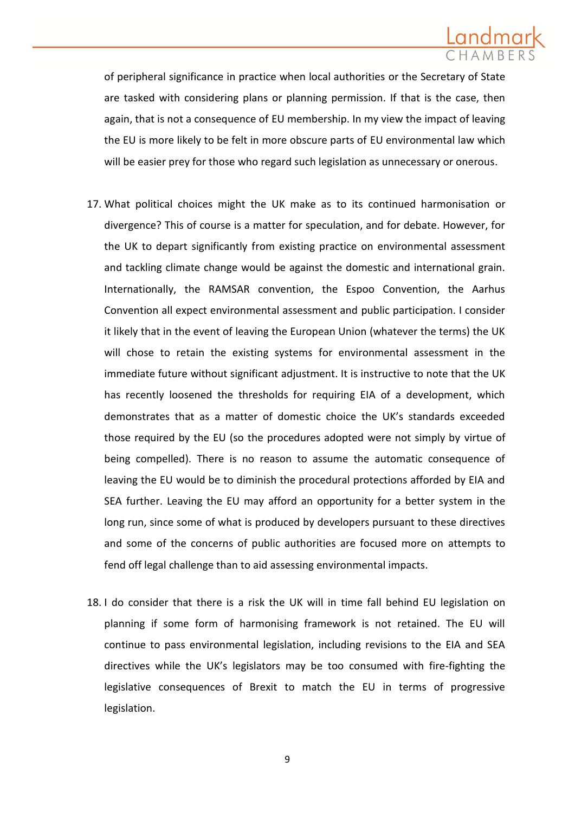

of peripheral significance in practice when local authorities or the Secretary of State are tasked with considering plans or planning permission. If that is the case, then again, that is not a consequence of EU membership. In my view the impact of leaving the EU is more likely to be felt in more obscure parts of EU environmental law which will be easier prey for those who regard such legislation as unnecessary or onerous.

- 17. What political choices might the UK make as to its continued harmonisation or divergence? This of course is a matter for speculation, and for debate. However, for the UK to depart significantly from existing practice on environmental assessment and tackling climate change would be against the domestic and international grain. Internationally, the RAMSAR convention, the Espoo Convention, the Aarhus Convention all expect environmental assessment and public participation. I consider it likely that in the event of leaving the European Union (whatever the terms) the UK will chose to retain the existing systems for environmental assessment in the immediate future without significant adjustment. It is instructive to note that the UK has recently loosened the thresholds for requiring EIA of a development, which demonstrates that as a matter of domestic choice the UK's standards exceeded those required by the EU (so the procedures adopted were not simply by virtue of being compelled). There is no reason to assume the automatic consequence of leaving the EU would be to diminish the procedural protections afforded by EIA and SEA further. Leaving the EU may afford an opportunity for a better system in the long run, since some of what is produced by developers pursuant to these directives and some of the concerns of public authorities are focused more on attempts to fend off legal challenge than to aid assessing environmental impacts.
- 18. I do consider that there is a risk the UK will in time fall behind EU legislation on planning if some form of harmonising framework is not retained. The EU will continue to pass environmental legislation, including revisions to the EIA and SEA directives while the UK's legislators may be too consumed with fire-fighting the legislative consequences of Brexit to match the EU in terms of progressive legislation.

9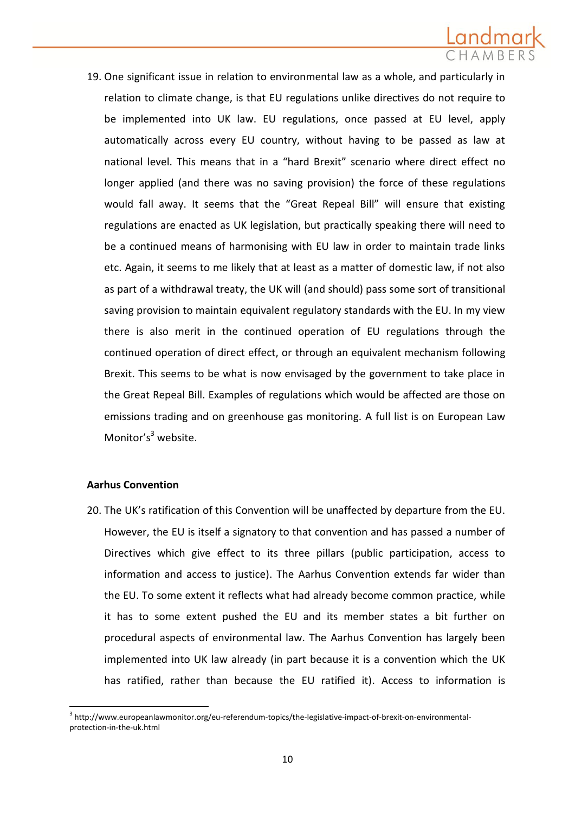

19. One significant issue in relation to environmental law as a whole, and particularly in relation to climate change, is that EU regulations unlike directives do not require to be implemented into UK law. EU regulations, once passed at EU level, apply automatically across every EU country, without having to be passed as law at national level. This means that in a "hard Brexit" scenario where direct effect no longer applied (and there was no saving provision) the force of these regulations would fall away. It seems that the "Great Repeal Bill" will ensure that existing regulations are enacted as UK legislation, but practically speaking there will need to be a continued means of harmonising with EU law in order to maintain trade links etc. Again, it seems to me likely that at least as a matter of domestic law, if not also as part of a withdrawal treaty, the UK will (and should) pass some sort of transitional saving provision to maintain equivalent regulatory standards with the EU. In my view there is also merit in the continued operation of EU regulations through the continued operation of direct effect, or through an equivalent mechanism following Brexit. This seems to be what is now envisaged by the government to take place in the Great Repeal Bill. Examples of regulations which would be affected are those on emissions trading and on greenhouse gas monitoring. A full list is on [European Law](file://fileserver/users/agoodman/Old%20Desktop/Cases/Friends%20of%20the%20Earth/Brexit/Climate%20Change%20Section%20for%20Brexit%20Advice.docx)  [Monitor](file://fileserver/users/agoodman/Old%20Desktop/Cases/Friends%20of%20the%20Earth/Brexit/Climate%20Change%20Section%20for%20Brexit%20Advice.docx)'s $3$  website.

### **Aarhus Convention**

1

20. The UK's ratification of this Convention will be unaffected by departure from the EU. However, the EU is itself a signatory to that convention and has passed a number of Directives which give effect to its three pillars (public participation, access to information and access to justice). The Aarhus Convention extends far wider than the EU. To some extent it reflects what had already become common practice, while it has to some extent pushed the EU and its member states a bit further on procedural aspects of environmental law. The Aarhus Convention has largely been implemented into UK law already (in part because it is a convention which the UK has ratified, rather than because the EU ratified it). Access to information is

<sup>&</sup>lt;sup>3</sup> [http://www.europeanlawmonitor.org/eu-referendum-topics/the-legislative-impact-of-brexit-on-environmental](http://www.europeanlawmonitor.org/eu-referendum-topics/the-legislative-impact-of-brexit-on-environmental-protection-in-the-uk.html)[protection-in-the-uk.html](http://www.europeanlawmonitor.org/eu-referendum-topics/the-legislative-impact-of-brexit-on-environmental-protection-in-the-uk.html)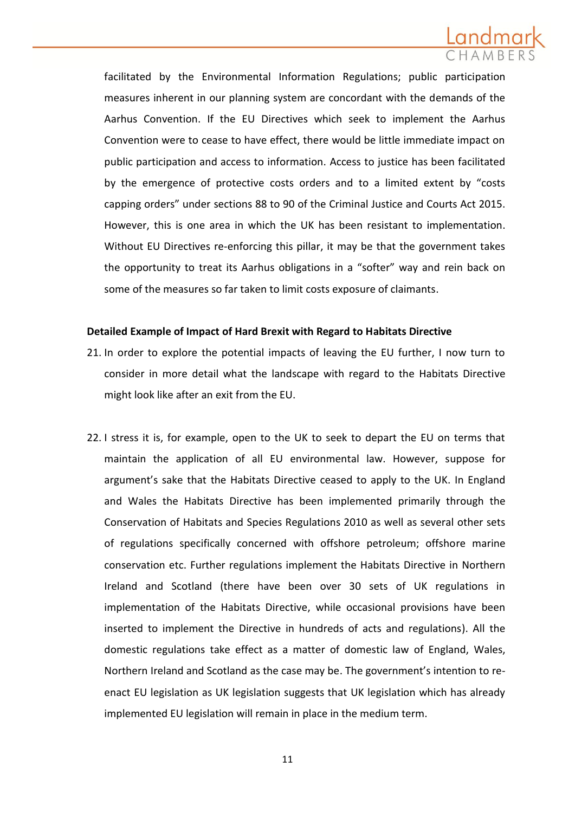

facilitated by the Environmental Information Regulations; public participation measures inherent in our planning system are concordant with the demands of the Aarhus Convention. If the EU Directives which seek to implement the Aarhus Convention were to cease to have effect, there would be little immediate impact on public participation and access to information. Access to justice has been facilitated by the emergence of protective costs orders and to a limited extent by "costs capping orders" under sections 88 to 90 of the Criminal Justice and Courts Act 2015. However, this is one area in which the UK has been resistant to implementation. Without EU Directives re-enforcing this pillar, it may be that the government takes the opportunity to treat its Aarhus obligations in a "softer" way and rein back on some of the measures so far taken to limit costs exposure of claimants.

### **Detailed Example of Impact of Hard Brexit with Regard to Habitats Directive**

- 21. In order to explore the potential impacts of leaving the EU further, I now turn to consider in more detail what the landscape with regard to the Habitats Directive might look like after an exit from the EU.
- 22. I stress it is, for example, open to the UK to seek to depart the EU on terms that maintain the application of all EU environmental law. However, suppose for argument's sake that the Habitats Directive ceased to apply to the UK. In England and Wales the Habitats Directive has been implemented primarily through the Conservation of Habitats and Species Regulations 2010 as well as several other sets of regulations specifically concerned with offshore petroleum; offshore marine conservation etc. Further regulations implement the Habitats Directive in Northern Ireland and Scotland (there have been over 30 sets of UK regulations in implementation of the Habitats Directive, while occasional provisions have been inserted to implement the Directive in hundreds of acts and regulations). All the domestic regulations take effect as a matter of domestic law of England, Wales, Northern Ireland and Scotland as the case may be. The government's intention to reenact EU legislation as UK legislation suggests that UK legislation which has already implemented EU legislation will remain in place in the medium term.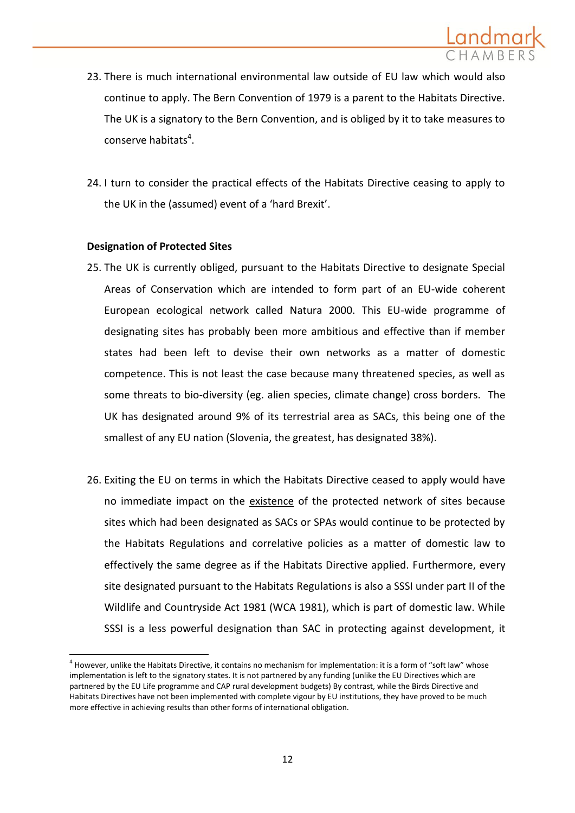

- 23. There is much international environmental law outside of EU law which would also continue to apply. The Bern Convention of 1979 is a parent to the Habitats Directive. The UK is a signatory to the Bern Convention, and is obliged by it to take measures to conserve habitats<sup>4</sup>.
- 24. I turn to consider the practical effects of the Habitats Directive ceasing to apply to the UK in the (assumed) event of a 'hard Brexit'.

## **Designation of Protected Sites**

**.** 

- 25. The UK is currently obliged, pursuant to the Habitats Directive to designate Special Areas of Conservation which are intended to form part of an EU-wide coherent European ecological network called Natura 2000. This EU-wide programme of designating sites has probably been more ambitious and effective than if member states had been left to devise their own networks as a matter of domestic competence. This is not least the case because many threatened species, as well as some threats to bio-diversity (eg. alien species, climate change) cross borders. The UK has designated around 9% of its terrestrial area as SACs, this being one of the smallest of any EU nation (Slovenia, the greatest, has designated 38%).
- 26. Exiting the EU on terms in which the Habitats Directive ceased to apply would have no immediate impact on the existence of the protected network of sites because sites which had been designated as SACs or SPAs would continue to be protected by the Habitats Regulations and correlative policies as a matter of domestic law to effectively the same degree as if the Habitats Directive applied. Furthermore, every site designated pursuant to the Habitats Regulations is also a SSSI under part II of the Wildlife and Countryside Act 1981 (WCA 1981), which is part of domestic law. While SSSI is a less powerful designation than SAC in protecting against development, it

 $^4$  However, unlike the Habitats Directive, it contains no mechanism for implementation: it is a form of "soft law" whose implementation is left to the signatory states. It is not partnered by any funding (unlike the EU Directives which are partnered by the EU Life programme and CAP rural development budgets) By contrast, while the Birds Directive and Habitats Directives have not been implemented with complete vigour by EU institutions, they have proved to be much more effective in achieving results than other forms of international obligation.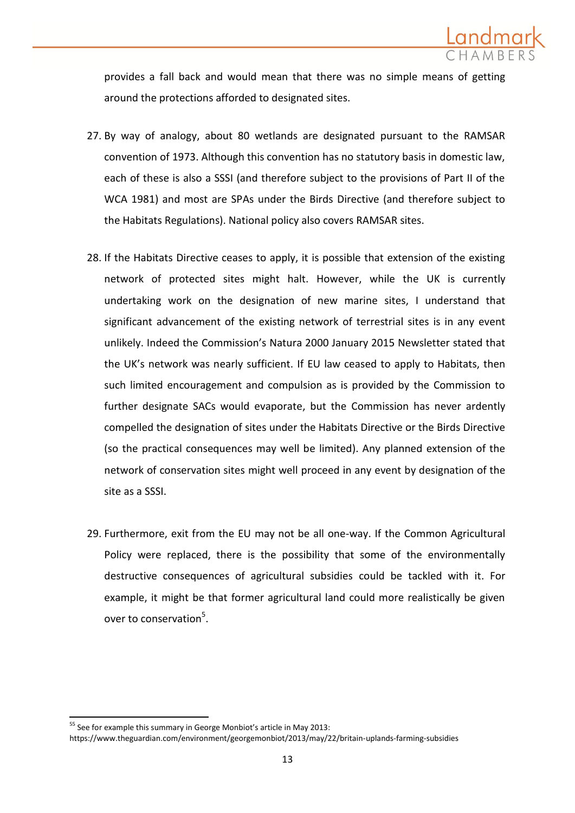provides a fall back and would mean that there was no simple means of getting around the protections afforded to designated sites.

- 27. By way of analogy, about 80 wetlands are designated pursuant to the RAMSAR convention of 1973. Although this convention has no statutory basis in domestic law, each of these is also a SSSI (and therefore subject to the provisions of Part II of the WCA 1981) and most are SPAs under the Birds Directive (and therefore subject to the Habitats Regulations). National policy also covers RAMSAR sites.
- 28. If the Habitats Directive ceases to apply, it is possible that extension of the existing network of protected sites might halt. However, while the UK is currently undertaking work on the designation of new marine sites, I understand that significant advancement of the existing network of terrestrial sites is in any event unlikely. Indeed the Commission's Natura 2000 January 2015 Newsletter stated that the UK's network was nearly sufficient. If EU law ceased to apply to Habitats, then such limited encouragement and compulsion as is provided by the Commission to further designate SACs would evaporate, but the Commission has never ardently compelled the designation of sites under the Habitats Directive or the Birds Directive (so the practical consequences may well be limited). Any planned extension of the network of conservation sites might well proceed in any event by designation of the site as a SSSI.
- 29. Furthermore, exit from the EU may not be all one-way. If the Common Agricultural Policy were replaced, there is the possibility that some of the environmentally destructive consequences of agricultural subsidies could be tackled with it. For example, it might be that former agricultural land could more realistically be given over to conservation<sup>5</sup>.

**<sup>.</sup>** <sup>55</sup> See for example this summary in George Monbiot's article in May 2013:

https://www.theguardian.com/environment/georgemonbiot/2013/may/22/britain-uplands-farming-subsidies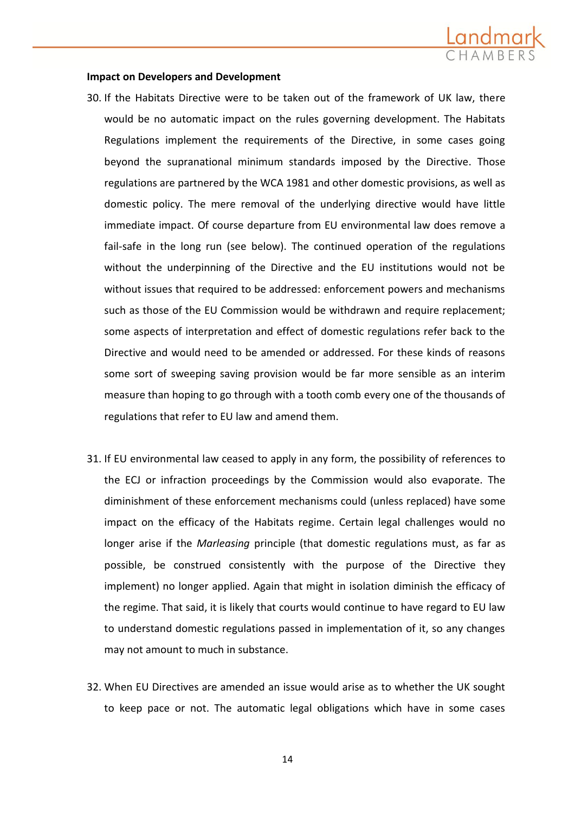

#### **Impact on Developers and Development**

- 30. If the Habitats Directive were to be taken out of the framework of UK law, there would be no automatic impact on the rules governing development. The Habitats Regulations implement the requirements of the Directive, in some cases going beyond the supranational minimum standards imposed by the Directive. Those regulations are partnered by the WCA 1981 and other domestic provisions, as well as domestic policy. The mere removal of the underlying directive would have little immediate impact. Of course departure from EU environmental law does remove a fail-safe in the long run (see below). The continued operation of the regulations without the underpinning of the Directive and the EU institutions would not be without issues that required to be addressed: enforcement powers and mechanisms such as those of the EU Commission would be withdrawn and require replacement; some aspects of interpretation and effect of domestic regulations refer back to the Directive and would need to be amended or addressed. For these kinds of reasons some sort of sweeping saving provision would be far more sensible as an interim measure than hoping to go through with a tooth comb every one of the thousands of regulations that refer to EU law and amend them.
- 31. If EU environmental law ceased to apply in any form, the possibility of references to the ECJ or infraction proceedings by the Commission would also evaporate. The diminishment of these enforcement mechanisms could (unless replaced) have some impact on the efficacy of the Habitats regime. Certain legal challenges would no longer arise if the *Marleasing* principle (that domestic regulations must, as far as possible, be construed consistently with the purpose of the Directive they implement) no longer applied. Again that might in isolation diminish the efficacy of the regime. That said, it is likely that courts would continue to have regard to EU law to understand domestic regulations passed in implementation of it, so any changes may not amount to much in substance.
- 32. When EU Directives are amended an issue would arise as to whether the UK sought to keep pace or not. The automatic legal obligations which have in some cases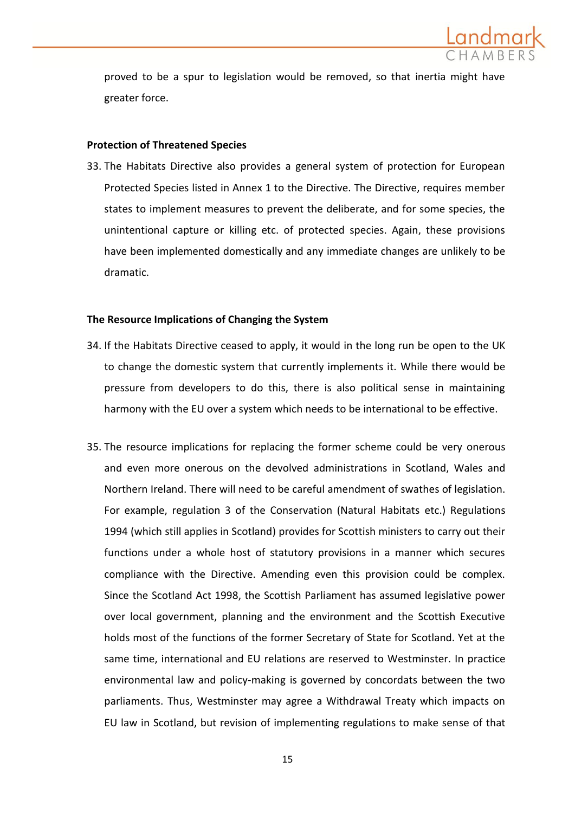

proved to be a spur to legislation would be removed, so that inertia might have greater force.

#### **Protection of Threatened Species**

33. The Habitats Directive also provides a general system of protection for European Protected Species listed in Annex 1 to the Directive. The Directive, requires member states to implement measures to prevent the deliberate, and for some species, the unintentional capture or killing etc. of protected species. Again, these provisions have been implemented domestically and any immediate changes are unlikely to be dramatic.

### **The Resource Implications of Changing the System**

- 34. If the Habitats Directive ceased to apply, it would in the long run be open to the UK to change the domestic system that currently implements it. While there would be pressure from developers to do this, there is also political sense in maintaining harmony with the EU over a system which needs to be international to be effective.
- 35. The resource implications for replacing the former scheme could be very onerous and even more onerous on the devolved administrations in Scotland, Wales and Northern Ireland. There will need to be careful amendment of swathes of legislation. For example, regulation 3 of the Conservation (Natural Habitats etc.) Regulations 1994 (which still applies in Scotland) provides for Scottish ministers to carry out their functions under a whole host of statutory provisions in a manner which secures compliance with the Directive. Amending even this provision could be complex. Since the Scotland Act 1998, the Scottish Parliament has assumed legislative power over local government, planning and the environment and the Scottish Executive holds most of the functions of the former Secretary of State for Scotland. Yet at the same time, international and EU relations are reserved to Westminster. In practice environmental law and policy-making is governed by concordats between the two parliaments. Thus, Westminster may agree a Withdrawal Treaty which impacts on EU law in Scotland, but revision of implementing regulations to make sense of that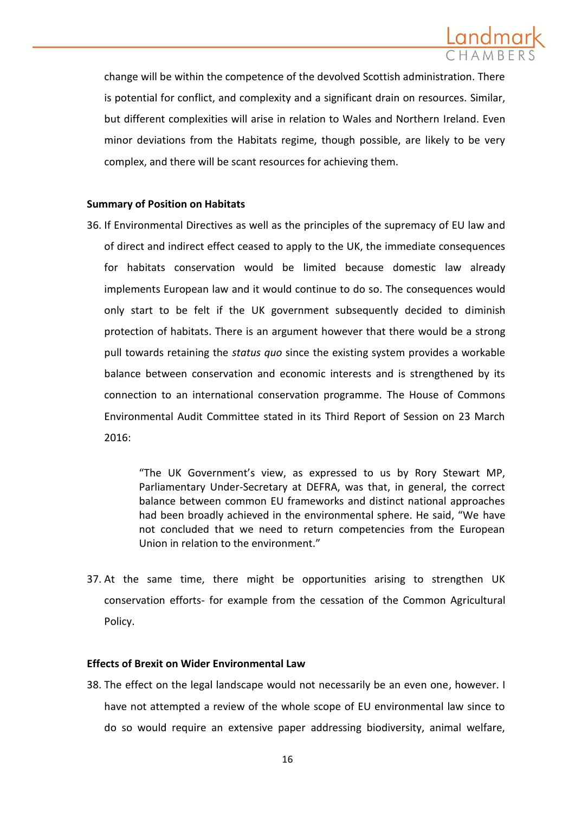

change will be within the competence of the devolved Scottish administration. There is potential for conflict, and complexity and a significant drain on resources. Similar, but different complexities will arise in relation to Wales and Northern Ireland. Even minor deviations from the Habitats regime, though possible, are likely to be very complex, and there will be scant resources for achieving them.

## **Summary of Position on Habitats**

36. If Environmental Directives as well as the principles of the supremacy of EU law and of direct and indirect effect ceased to apply to the UK, the immediate consequences for habitats conservation would be limited because domestic law already implements European law and it would continue to do so. The consequences would only start to be felt if the UK government subsequently decided to diminish protection of habitats. There is an argument however that there would be a strong pull towards retaining the *status quo* since the existing system provides a workable balance between conservation and economic interests and is strengthened by its connection to an international conservation programme. The House of Commons Environmental Audit Committee stated in its Third Report of Session on 23 March 2016:

> "The UK Government's view, as expressed to us by Rory Stewart MP, Parliamentary Under-Secretary at DEFRA, was that, in general, the correct balance between common EU frameworks and distinct national approaches had been broadly achieved in the environmental sphere. He said, "We have not concluded that we need to return competencies from the European Union in relation to the environment."

37. At the same time, there might be opportunities arising to strengthen UK conservation efforts- for example from the cessation of the Common Agricultural Policy.

### **Effects of Brexit on Wider Environmental Law**

38. The effect on the legal landscape would not necessarily be an even one, however. I have not attempted a review of the whole scope of EU environmental law since to do so would require an extensive paper addressing biodiversity, animal welfare,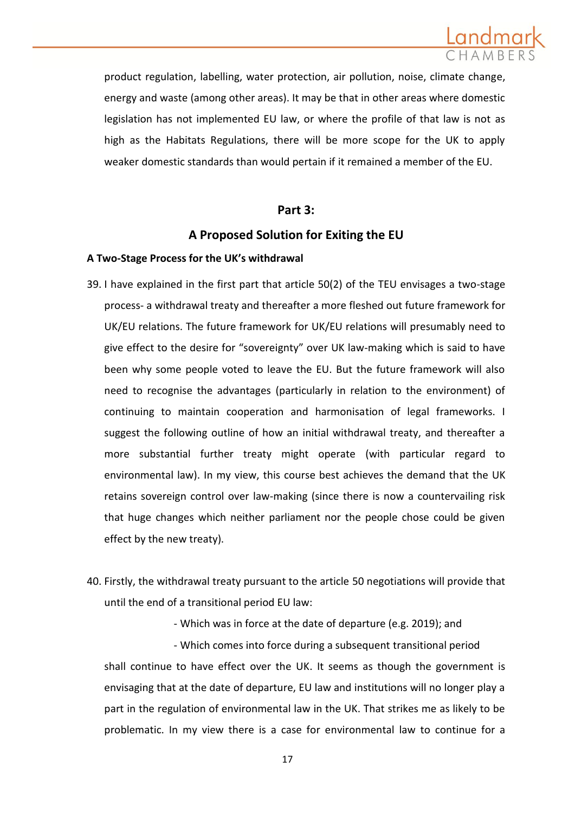

product regulation, labelling, water protection, air pollution, noise, climate change, energy and waste (among other areas). It may be that in other areas where domestic legislation has not implemented EU law, or where the profile of that law is not as high as the Habitats Regulations, there will be more scope for the UK to apply weaker domestic standards than would pertain if it remained a member of the EU.

## **Part 3:**

# **A Proposed Solution for Exiting the EU**

#### **A Two-Stage Process for the UK's withdrawal**

- 39. I have explained in the first part that article 50(2) of the TEU envisages a two-stage process- a withdrawal treaty and thereafter a more fleshed out future framework for UK/EU relations. The future framework for UK/EU relations will presumably need to give effect to the desire for "sovereignty" over UK law-making which is said to have been why some people voted to leave the EU. But the future framework will also need to recognise the advantages (particularly in relation to the environment) of continuing to maintain cooperation and harmonisation of legal frameworks. I suggest the following outline of how an initial withdrawal treaty, and thereafter a more substantial further treaty might operate (with particular regard to environmental law). In my view, this course best achieves the demand that the UK retains sovereign control over law-making (since there is now a countervailing risk that huge changes which neither parliament nor the people chose could be given effect by the new treaty).
- 40. Firstly, the withdrawal treaty pursuant to the article 50 negotiations will provide that until the end of a transitional period EU law:

- Which was in force at the date of departure (e.g. 2019); and

- Which comes into force during a subsequent transitional period shall continue to have effect over the UK. It seems as though the government is envisaging that at the date of departure, EU law and institutions will no longer play a part in the regulation of environmental law in the UK. That strikes me as likely to be problematic. In my view there is a case for environmental law to continue for a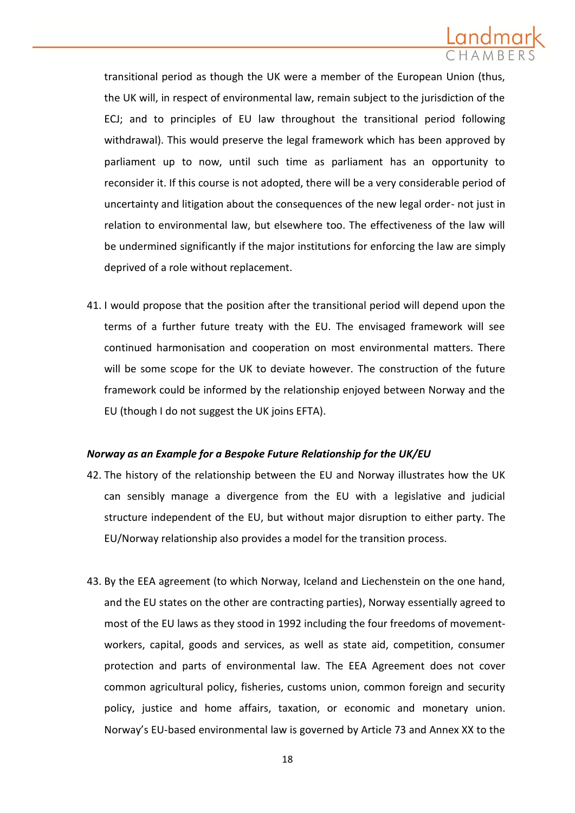

transitional period as though the UK were a member of the European Union (thus, the UK will, in respect of environmental law, remain subject to the jurisdiction of the ECJ; and to principles of EU law throughout the transitional period following withdrawal). This would preserve the legal framework which has been approved by parliament up to now, until such time as parliament has an opportunity to reconsider it. If this course is not adopted, there will be a very considerable period of uncertainty and litigation about the consequences of the new legal order- not just in relation to environmental law, but elsewhere too. The effectiveness of the law will be undermined significantly if the major institutions for enforcing the law are simply deprived of a role without replacement.

41. I would propose that the position after the transitional period will depend upon the terms of a further future treaty with the EU. The envisaged framework will see continued harmonisation and cooperation on most environmental matters. There will be some scope for the UK to deviate however. The construction of the future framework could be informed by the relationship enjoyed between Norway and the EU (though I do not suggest the UK joins EFTA).

### *Norway as an Example for a Bespoke Future Relationship for the UK/EU*

- 42. The history of the relationship between the EU and Norway illustrates how the UK can sensibly manage a divergence from the EU with a legislative and judicial structure independent of the EU, but without major disruption to either party. The EU/Norway relationship also provides a model for the transition process.
- 43. By the EEA agreement (to which Norway, Iceland and Liechenstein on the one hand, and the EU states on the other are contracting parties), Norway essentially agreed to most of the EU laws as they stood in 1992 including the four freedoms of movementworkers, capital, goods and services, as well as state aid, competition, consumer protection and parts of environmental law. The EEA Agreement does not cover common agricultural policy, fisheries, customs union, common foreign and security policy, justice and home affairs, taxation, or economic and monetary union. Norway's EU-based environmental law is governed by Article 73 and Annex XX to the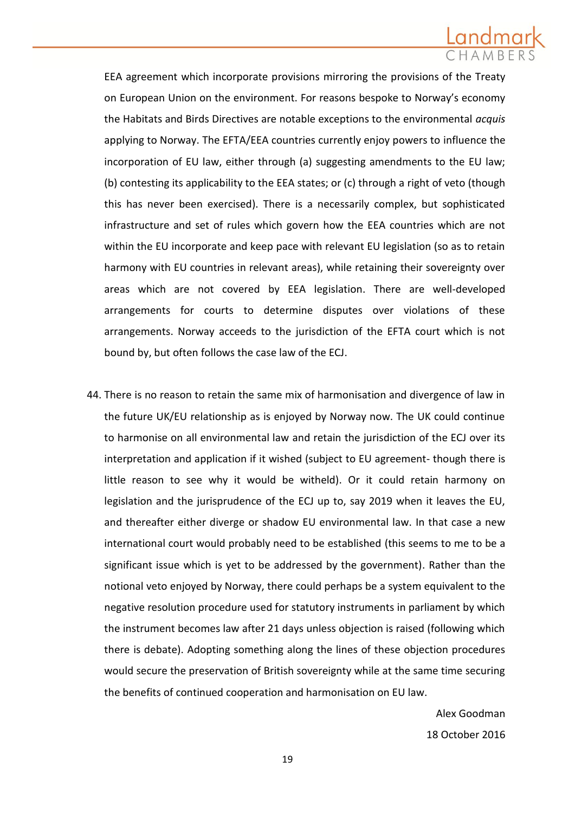

EEA agreement which incorporate provisions mirroring the provisions of the Treaty on European Union on the environment. For reasons bespoke to Norway's economy the Habitats and Birds Directives are notable exceptions to the environmental *acquis*  applying to Norway. The EFTA/EEA countries currently enjoy powers to influence the incorporation of EU law, either through (a) suggesting amendments to the EU law; (b) contesting its applicability to the EEA states; or (c) through a right of veto (though this has never been exercised). There is a necessarily complex, but sophisticated infrastructure and set of rules which govern how the EEA countries which are not within the EU incorporate and keep pace with relevant EU legislation (so as to retain harmony with EU countries in relevant areas), while retaining their sovereignty over areas which are not covered by EEA legislation. There are well-developed arrangements for courts to determine disputes over violations of these arrangements. Norway acceeds to the jurisdiction of the EFTA court which is not bound by, but often follows the case law of the ECJ.

44. There is no reason to retain the same mix of harmonisation and divergence of law in the future UK/EU relationship as is enjoyed by Norway now. The UK could continue to harmonise on all environmental law and retain the jurisdiction of the ECJ over its interpretation and application if it wished (subject to EU agreement- though there is little reason to see why it would be witheld). Or it could retain harmony on legislation and the jurisprudence of the ECJ up to, say 2019 when it leaves the EU, and thereafter either diverge or shadow EU environmental law. In that case a new international court would probably need to be established (this seems to me to be a significant issue which is yet to be addressed by the government). Rather than the notional veto enjoyed by Norway, there could perhaps be a system equivalent to the negative resolution procedure used for statutory instruments in parliament by which the instrument becomes law after 21 days unless objection is raised (following which there is debate). Adopting something along the lines of these objection procedures would secure the preservation of British sovereignty while at the same time securing the benefits of continued cooperation and harmonisation on EU law.

> Alex Goodman 18 October 2016